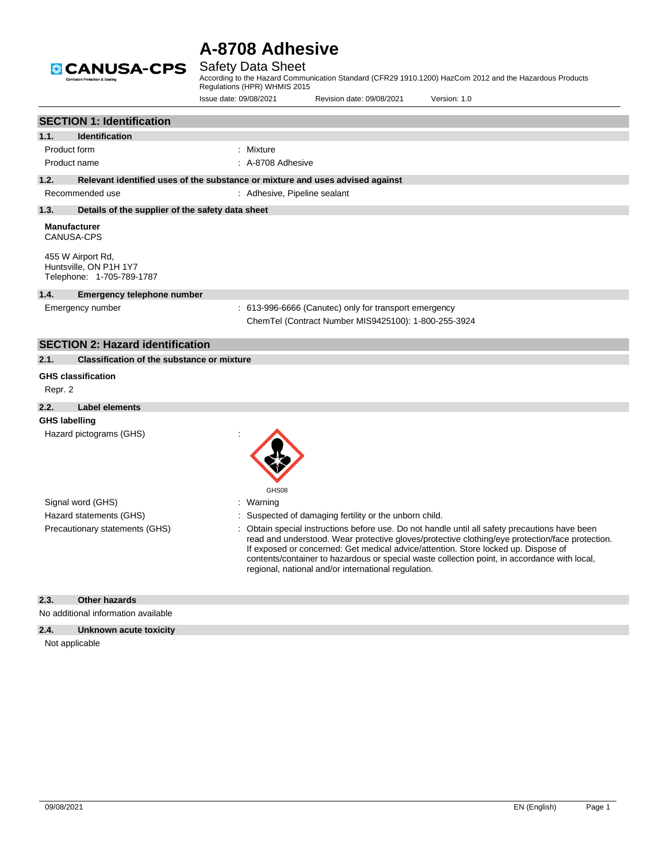



## Safety Data Sheet

According to the Hazard Communication Standard (CFR29 1910.1200) HazCom 2012 and the Hazardous Products Regulations (HPR) WHMIS 2015

|                      |                                                                          | Issue date: 09/08/2021                                                        | Revision date: 09/08/2021                             | Version: 1.0                                                                                                                                                                                                                                                                                                                                                                          |
|----------------------|--------------------------------------------------------------------------|-------------------------------------------------------------------------------|-------------------------------------------------------|---------------------------------------------------------------------------------------------------------------------------------------------------------------------------------------------------------------------------------------------------------------------------------------------------------------------------------------------------------------------------------------|
|                      | <b>SECTION 1: Identification</b>                                         |                                                                               |                                                       |                                                                                                                                                                                                                                                                                                                                                                                       |
| 1.1.                 | <b>Identification</b>                                                    |                                                                               |                                                       |                                                                                                                                                                                                                                                                                                                                                                                       |
| Product form         |                                                                          | : Mixture                                                                     |                                                       |                                                                                                                                                                                                                                                                                                                                                                                       |
|                      | Product name                                                             | : A-8708 Adhesive                                                             |                                                       |                                                                                                                                                                                                                                                                                                                                                                                       |
| 1.2.                 |                                                                          | Relevant identified uses of the substance or mixture and uses advised against |                                                       |                                                                                                                                                                                                                                                                                                                                                                                       |
|                      | Recommended use                                                          | : Adhesive, Pipeline sealant                                                  |                                                       |                                                                                                                                                                                                                                                                                                                                                                                       |
| 1.3.                 | Details of the supplier of the safety data sheet                         |                                                                               |                                                       |                                                                                                                                                                                                                                                                                                                                                                                       |
|                      | <b>Manufacturer</b><br><b>CANUSA-CPS</b>                                 |                                                                               |                                                       |                                                                                                                                                                                                                                                                                                                                                                                       |
|                      | 455 W Airport Rd,<br>Huntsville, ON P1H 1Y7<br>Telephone: 1-705-789-1787 |                                                                               |                                                       |                                                                                                                                                                                                                                                                                                                                                                                       |
| 1.4.                 | <b>Emergency telephone number</b>                                        |                                                                               |                                                       |                                                                                                                                                                                                                                                                                                                                                                                       |
|                      | Emergency number                                                         |                                                                               | : 613-996-6666 (Canutec) only for transport emergency |                                                                                                                                                                                                                                                                                                                                                                                       |
|                      |                                                                          |                                                                               | ChemTel (Contract Number MIS9425100): 1-800-255-3924  |                                                                                                                                                                                                                                                                                                                                                                                       |
|                      | <b>SECTION 2: Hazard identification</b>                                  |                                                                               |                                                       |                                                                                                                                                                                                                                                                                                                                                                                       |
| 2.1.                 | <b>Classification of the substance or mixture</b>                        |                                                                               |                                                       |                                                                                                                                                                                                                                                                                                                                                                                       |
|                      |                                                                          |                                                                               |                                                       |                                                                                                                                                                                                                                                                                                                                                                                       |
| Repr. 2              | <b>GHS classification</b>                                                |                                                                               |                                                       |                                                                                                                                                                                                                                                                                                                                                                                       |
|                      |                                                                          |                                                                               |                                                       |                                                                                                                                                                                                                                                                                                                                                                                       |
| 2.2.                 | <b>Label elements</b>                                                    |                                                                               |                                                       |                                                                                                                                                                                                                                                                                                                                                                                       |
| <b>GHS labelling</b> |                                                                          |                                                                               |                                                       |                                                                                                                                                                                                                                                                                                                                                                                       |
|                      | Hazard pictograms (GHS)                                                  | GHS08                                                                         |                                                       |                                                                                                                                                                                                                                                                                                                                                                                       |
|                      | Signal word (GHS)                                                        | : Warning                                                                     |                                                       |                                                                                                                                                                                                                                                                                                                                                                                       |
|                      | Hazard statements (GHS)                                                  |                                                                               | Suspected of damaging fertility or the unborn child.  |                                                                                                                                                                                                                                                                                                                                                                                       |
|                      | Precautionary statements (GHS)                                           |                                                                               | regional, national and/or international regulation.   | Obtain special instructions before use. Do not handle until all safety precautions have been<br>read and understood. Wear protective gloves/protective clothing/eye protection/face protection.<br>If exposed or concerned: Get medical advice/attention. Store locked up. Dispose of<br>contents/container to hazardous or special waste collection point, in accordance with local, |
| 2.3.                 | <b>Other hazards</b>                                                     |                                                                               |                                                       |                                                                                                                                                                                                                                                                                                                                                                                       |
|                      | No additional information available                                      |                                                                               |                                                       |                                                                                                                                                                                                                                                                                                                                                                                       |
| 2.4.                 | Unknown acute toxicity                                                   |                                                                               |                                                       |                                                                                                                                                                                                                                                                                                                                                                                       |
|                      | Not applicable                                                           |                                                                               |                                                       |                                                                                                                                                                                                                                                                                                                                                                                       |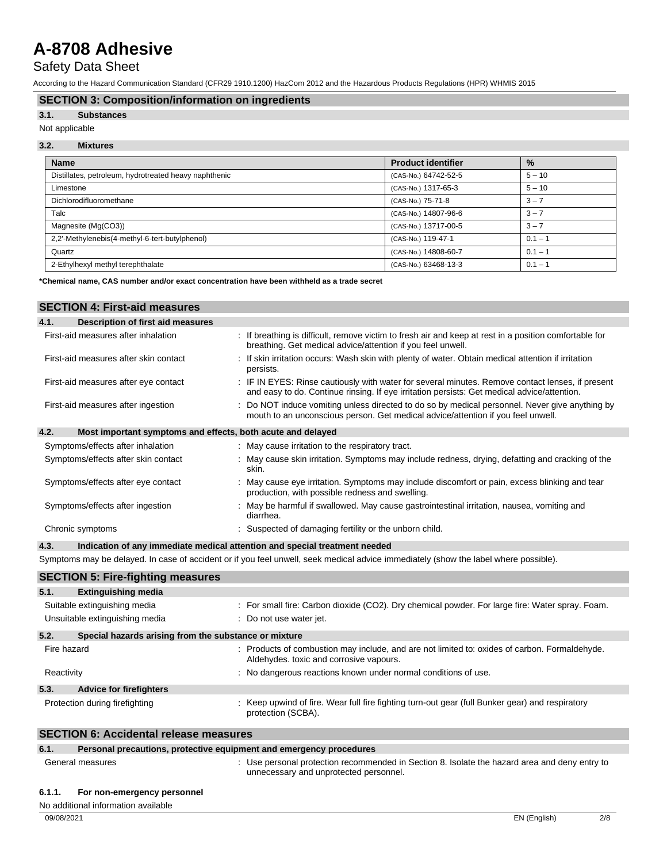Safety Data Sheet

According to the Hazard Communication Standard (CFR29 1910.1200) HazCom 2012 and the Hazardous Products Regulations (HPR) WHMIS 2015

## **SECTION 3: Composition/information on ingredients**

### **3.1. Substances**

### Not applicable

#### **3.2. Mixtures**

| <b>Name</b>                                           | <b>Product identifier</b> | $\frac{9}{6}$ |
|-------------------------------------------------------|---------------------------|---------------|
| Distillates, petroleum, hydrotreated heavy naphthenic | (CAS-No.) 64742-52-5      | $5 - 10$      |
| Limestone                                             | (CAS-No.) 1317-65-3       | $5 - 10$      |
| Dichlorodifluoromethane                               | (CAS-No.) 75-71-8         | $3 - 7$       |
| Talc                                                  | (CAS-No.) 14807-96-6      | $3 - 7$       |
| Magnesite (Mg(CO3))                                   | (CAS-No.) 13717-00-5      | $3 - 7$       |
| 2,2'-Methylenebis(4-methyl-6-tert-butylphenol)        | (CAS-No.) 119-47-1        | $0.1 - 1$     |
| Quartz                                                | (CAS-No.) 14808-60-7      | $0.1 - 1$     |
| 2-Ethylhexyl methyl terephthalate                     | (CAS-No.) 63468-13-3      | $0.1 - 1$     |

**\*Chemical name, CAS number and/or exact concentration have been withheld as a trade secret**

# **SECTION 4: First-aid measures**

| 4.1.<br>Description of first aid measures                           |                                                                                                                                                                                                                                    |
|---------------------------------------------------------------------|------------------------------------------------------------------------------------------------------------------------------------------------------------------------------------------------------------------------------------|
| First-aid measures after inhalation                                 | : If breathing is difficult, remove victim to fresh air and keep at rest in a position comfortable for<br>breathing. Get medical advice/attention if you feel unwell.                                                              |
| First-aid measures after skin contact                               | : If skin irritation occurs: Wash skin with plenty of water. Obtain medical attention if irritation<br>persists.                                                                                                                   |
| First-aid measures after eye contact                                | : IF IN EYES: Rinse cautiously with water for several minutes. Remove contact lenses, if present<br>and easy to do. Continue rinsing. If eye irritation persists: Get medical advice/attention.                                    |
| First-aid measures after ingestion                                  | : Do NOT induce vomiting unless directed to do so by medical personnel. Never give anything by<br>mouth to an unconscious person. Get medical advice/attention if you feel unwell.                                                 |
| 4.2.<br>Most important symptoms and effects, both acute and delayed |                                                                                                                                                                                                                                    |
| Symptoms/effects after inhalation                                   | : May cause irritation to the respiratory tract.                                                                                                                                                                                   |
| Symptoms/effects after skin contact                                 | : May cause skin irritation. Symptoms may include redness, drying, defatting and cracking of the<br>skin.                                                                                                                          |
| Symptoms/effects after eye contact                                  | : May cause eye irritation. Symptoms may include discomfort or pain, excess blinking and tear<br>production, with possible redness and swelling.                                                                                   |
| Symptoms/effects after ingestion                                    | : May be harmful if swallowed. May cause gastrointestinal irritation, nausea, vomiting and<br>diarrhea.                                                                                                                            |
| Chronic symptoms                                                    | : Suspected of damaging fertility or the unborn child.                                                                                                                                                                             |
| 4.3.                                                                | Indication of any immediate medical attention and special treatment needed                                                                                                                                                         |
|                                                                     | $\bigcap_{i=1}^{n}$ . The contracted the contracted of $f$ and $f$ and $f$ and $f$ and $f$ and $f$ and $f$ and $f$ and $f$ and $f$ and $f$ and $f$ and $f$ and $f$ and $f$ and $f$ and $f$ and $f$ and $f$ and $f$ and $f$ and $f$ |

Symptoms may be delayed. In case of accident or if you feel unwell, seek medical advice immediately (show the label where possible).

## **SECTION 5: Fire-fighting measures 5.1. Extinguishing media** Suitable extinguishing media **included in the state of the state of the state of the state of the state of the stater spray. Foam.** Foam. Unsuitable extinguishing media : Do not use water jet. **5.2. Special hazards arising from the substance or mixture** Fire hazard **included in the set of combustion may include, and are not limited to: oxides of carbon. Formaldehyde.** Aldehydes. toxic and corrosive vapours. Reactivity **State 1 and 1999** : No dangerous reactions known under normal conditions of use.

## **5.3. Advice for firefighters** Protection during firefighting : Keep upwind of fire. Wear full fire fighting turn-out gear (full Bunker gear) and respiratory protection (SCBA).

## **SECTION 6: Accidental release measures**

| 6.1.                                                       | Personal precautions, protective equipment and emergency procedures |                                                                                             |  |  |  |
|------------------------------------------------------------|---------------------------------------------------------------------|---------------------------------------------------------------------------------------------|--|--|--|
| General measures<br>unnecessary and unprotected personnel. |                                                                     | Use personal protection recommended in Section 8. Isolate the hazard area and deny entry to |  |  |  |
| 6.1.1.                                                     | For non-emergency personnel                                         |                                                                                             |  |  |  |

### **6.1.1. For non-emergency personnel**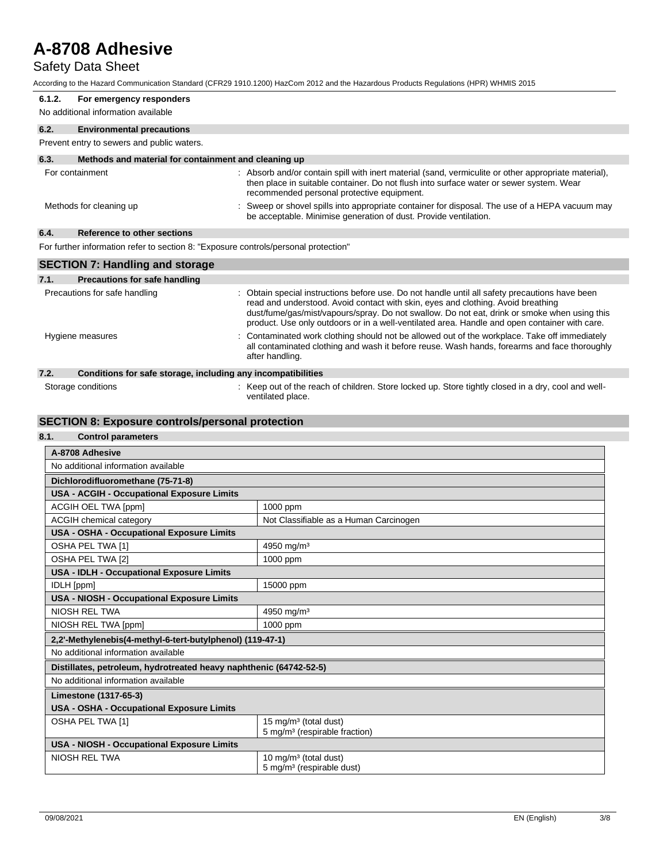## Safety Data Sheet

According to the Hazard Communication Standard (CFR29 1910.1200) HazCom 2012 and the Hazardous Products Regulations (HPR) WHMIS 2015

ventilated place.

| 6.1.2.                  | For emergency responders<br>No additional information available                     |                                                                                                                                                                                                                                                                                                                                                                                   |  |
|-------------------------|-------------------------------------------------------------------------------------|-----------------------------------------------------------------------------------------------------------------------------------------------------------------------------------------------------------------------------------------------------------------------------------------------------------------------------------------------------------------------------------|--|
| 6.2.                    | <b>Environmental precautions</b>                                                    |                                                                                                                                                                                                                                                                                                                                                                                   |  |
|                         | Prevent entry to sewers and public waters.                                          |                                                                                                                                                                                                                                                                                                                                                                                   |  |
| 6.3.                    | Methods and material for containment and cleaning up                                |                                                                                                                                                                                                                                                                                                                                                                                   |  |
|                         | For containment                                                                     | : Absorb and/or contain spill with inert material (sand, vermiculite or other appropriate material),<br>then place in suitable container. Do not flush into surface water or sewer system. Wear<br>recommended personal protective equipment.                                                                                                                                     |  |
| Methods for cleaning up |                                                                                     | Sweep or shovel spills into appropriate container for disposal. The use of a HEPA vacuum may<br>be acceptable. Minimise generation of dust. Provide ventilation.                                                                                                                                                                                                                  |  |
| 6.4.                    | <b>Reference to other sections</b>                                                  |                                                                                                                                                                                                                                                                                                                                                                                   |  |
|                         | For further information refer to section 8: "Exposure controls/personal protection" |                                                                                                                                                                                                                                                                                                                                                                                   |  |
|                         | <b>SECTION 7: Handling and storage</b>                                              |                                                                                                                                                                                                                                                                                                                                                                                   |  |
| 7.1.                    | Precautions for safe handling                                                       |                                                                                                                                                                                                                                                                                                                                                                                   |  |
|                         | Precautions for safe handling                                                       | Obtain special instructions before use. Do not handle until all safety precautions have been<br>read and understood. Avoid contact with skin, eyes and clothing. Avoid breathing<br>dust/fume/gas/mist/vapours/spray. Do not swallow. Do not eat, drink or smoke when using this<br>product. Use only outdoors or in a well-ventilated area. Handle and open container with care. |  |
| Hygiene measures        |                                                                                     | Contaminated work clothing should not be allowed out of the workplace. Take off immediately<br>all contaminated clothing and wash it before reuse. Wash hands, forearms and face thoroughly<br>after handling.                                                                                                                                                                    |  |
| 7.2.                    | Conditions for safe storage, including any incompatibilities                        |                                                                                                                                                                                                                                                                                                                                                                                   |  |
|                         | Storage conditions                                                                  | : Keep out of the reach of children. Store locked up. Store tightly closed in a dry, cool and well-                                                                                                                                                                                                                                                                               |  |

## **SECTION 8: Exposure controls/personal protection**

## **8.1. Control parameters**

| A-8708 Adhesive                                                    |                                                                                |  |  |  |
|--------------------------------------------------------------------|--------------------------------------------------------------------------------|--|--|--|
| No additional information available                                |                                                                                |  |  |  |
| Dichlorodifluoromethane (75-71-8)                                  |                                                                                |  |  |  |
| USA - ACGIH - Occupational Exposure Limits                         |                                                                                |  |  |  |
| <b>ACGIH OEL TWA [ppm]</b>                                         | 1000 ppm                                                                       |  |  |  |
| ACGIH chemical category                                            | Not Classifiable as a Human Carcinogen                                         |  |  |  |
| USA - OSHA - Occupational Exposure Limits                          |                                                                                |  |  |  |
| OSHA PEL TWA [1]                                                   | 4950 mg/m <sup>3</sup>                                                         |  |  |  |
| OSHA PEL TWA [2]                                                   | 1000 ppm                                                                       |  |  |  |
| USA - IDLH - Occupational Exposure Limits                          |                                                                                |  |  |  |
| IDLH [ppm]                                                         | 15000 ppm                                                                      |  |  |  |
| <b>USA - NIOSH - Occupational Exposure Limits</b>                  |                                                                                |  |  |  |
| NIOSH REL TWA<br>4950 mg/m <sup>3</sup>                            |                                                                                |  |  |  |
| NIOSH REL TWA [ppm]                                                | 1000 ppm                                                                       |  |  |  |
| 2.2'-Methylenebis(4-methyl-6-tert-butylphenol) (119-47-1)          |                                                                                |  |  |  |
| No additional information available                                |                                                                                |  |  |  |
| Distillates, petroleum, hydrotreated heavy naphthenic (64742-52-5) |                                                                                |  |  |  |
| No additional information available                                |                                                                                |  |  |  |
| Limestone (1317-65-3)                                              |                                                                                |  |  |  |
| USA - OSHA - Occupational Exposure Limits                          |                                                                                |  |  |  |
| OSHA PEL TWA [1]                                                   | 15 mg/m <sup>3</sup> (total dust)<br>5 mg/m <sup>3</sup> (respirable fraction) |  |  |  |
| <b>USA - NIOSH - Occupational Exposure Limits</b>                  |                                                                                |  |  |  |
| <b>NIOSH REL TWA</b>                                               | 10 mg/m <sup>3</sup> (total dust)<br>5 mg/m <sup>3</sup> (respirable dust)     |  |  |  |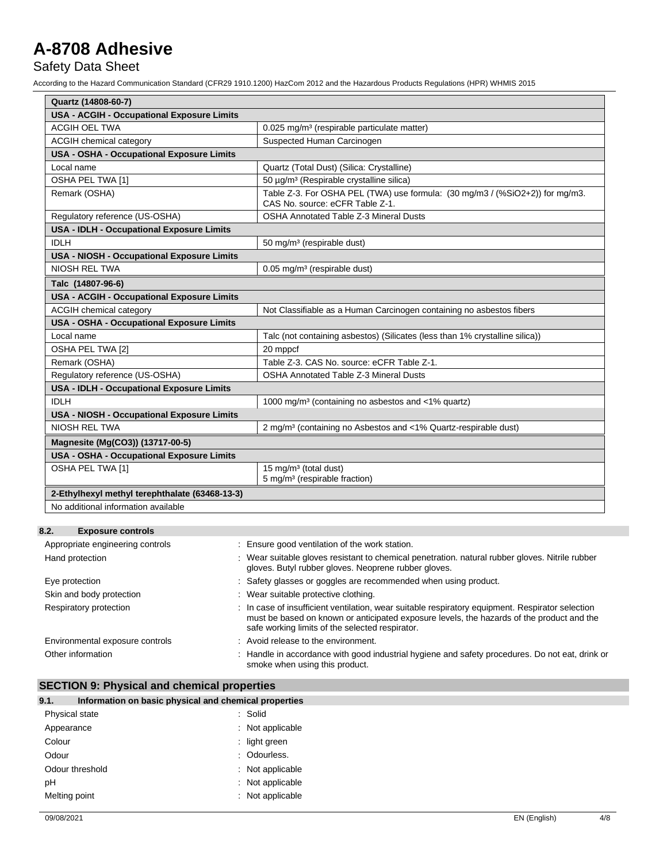Safety Data Sheet

According to the Hazard Communication Standard (CFR29 1910.1200) HazCom 2012 and the Hazardous Products Regulations (HPR) WHMIS 2015

| Quartz (14808-60-7)                               |                                                                                                                 |  |  |  |  |
|---------------------------------------------------|-----------------------------------------------------------------------------------------------------------------|--|--|--|--|
| <b>USA - ACGIH - Occupational Exposure Limits</b> |                                                                                                                 |  |  |  |  |
| <b>ACGIH OEL TWA</b>                              | 0.025 mg/m <sup>3</sup> (respirable particulate matter)                                                         |  |  |  |  |
| ACGIH chemical category                           | Suspected Human Carcinogen                                                                                      |  |  |  |  |
| USA - OSHA - Occupational Exposure Limits         |                                                                                                                 |  |  |  |  |
| Local name                                        | Quartz (Total Dust) (Silica: Crystalline)                                                                       |  |  |  |  |
| OSHA PEL TWA [1]                                  | 50 µg/m <sup>3</sup> (Respirable crystalline silica)                                                            |  |  |  |  |
| Remark (OSHA)                                     | Table Z-3. For OSHA PEL (TWA) use formula: (30 mg/m3 / (%SiO2+2)) for mg/m3.<br>CAS No. source: eCFR Table Z-1. |  |  |  |  |
| Regulatory reference (US-OSHA)                    | <b>OSHA Annotated Table Z-3 Mineral Dusts</b>                                                                   |  |  |  |  |
| <b>USA - IDLH - Occupational Exposure Limits</b>  |                                                                                                                 |  |  |  |  |
| <b>IDLH</b>                                       | 50 mg/m <sup>3</sup> (respirable dust)                                                                          |  |  |  |  |
| <b>USA - NIOSH - Occupational Exposure Limits</b> |                                                                                                                 |  |  |  |  |
| <b>NIOSH REL TWA</b>                              | 0.05 mg/m <sup>3</sup> (respirable dust)                                                                        |  |  |  |  |
| Talc (14807-96-6)                                 |                                                                                                                 |  |  |  |  |
| <b>USA - ACGIH - Occupational Exposure Limits</b> |                                                                                                                 |  |  |  |  |
| <b>ACGIH chemical category</b>                    | Not Classifiable as a Human Carcinogen containing no asbestos fibers                                            |  |  |  |  |
| USA - OSHA - Occupational Exposure Limits         |                                                                                                                 |  |  |  |  |
| Local name                                        | Talc (not containing asbestos) (Silicates (less than 1% crystalline silica))                                    |  |  |  |  |
| OSHA PEL TWA [2]                                  | 20 mppcf                                                                                                        |  |  |  |  |
| Remark (OSHA)                                     | Table Z-3, CAS No. source: eCFR Table Z-1.                                                                      |  |  |  |  |
| Regulatory reference (US-OSHA)                    | <b>OSHA Annotated Table Z-3 Mineral Dusts</b>                                                                   |  |  |  |  |
| <b>USA - IDLH - Occupational Exposure Limits</b>  |                                                                                                                 |  |  |  |  |
| <b>IDLH</b>                                       | 1000 mg/m <sup>3</sup> (containing no asbestos and <1% quartz)                                                  |  |  |  |  |
| <b>USA - NIOSH - Occupational Exposure Limits</b> |                                                                                                                 |  |  |  |  |
| <b>NIOSH REL TWA</b>                              | 2 mg/m <sup>3</sup> (containing no Asbestos and <1% Quartz-respirable dust)                                     |  |  |  |  |
| Magnesite (Mg(CO3)) (13717-00-5)                  |                                                                                                                 |  |  |  |  |
| <b>USA - OSHA - Occupational Exposure Limits</b>  |                                                                                                                 |  |  |  |  |
| OSHA PEL TWA [1]                                  | 15 mg/m <sup>3</sup> (total dust)<br>5 mg/m <sup>3</sup> (respirable fraction)                                  |  |  |  |  |
| 2-Ethylhexyl methyl terephthalate (63468-13-3)    |                                                                                                                 |  |  |  |  |
| No additional information available               |                                                                                                                 |  |  |  |  |
|                                                   |                                                                                                                 |  |  |  |  |
| 8.2.<br><b>Exposure controls</b>                  |                                                                                                                 |  |  |  |  |

| Appropriate engineering controls | : Ensure good ventilation of the work station.                                                                                                                                                                                                   |
|----------------------------------|--------------------------------------------------------------------------------------------------------------------------------------------------------------------------------------------------------------------------------------------------|
| Hand protection                  | : Wear suitable gloves resistant to chemical penetration, natural rubber gloves. Nitrile rubber<br>gloves. Butyl rubber gloves. Neoprene rubber gloves.                                                                                          |
| Eye protection                   | : Safety glasses or goggles are recommended when using product.                                                                                                                                                                                  |
| Skin and body protection         | : Wear suitable protective clothing.                                                                                                                                                                                                             |
| Respiratory protection           | : In case of insufficient ventilation, wear suitable respiratory equipment. Respirator selection<br>must be based on known or anticipated exposure levels, the hazards of the product and the<br>safe working limits of the selected respirator. |
| Environmental exposure controls  | : Avoid release to the environment.                                                                                                                                                                                                              |
| Other information                | : Handle in accordance with good industrial hygiene and safety procedures. Do not eat, drink or<br>smoke when using this product.                                                                                                                |

# **SECTION 9: Physical and chemical properties**

| 9.1. | Information on basic physical and chemical properties |  |  |  |
|------|-------------------------------------------------------|--|--|--|
|      |                                                       |  |  |  |

| Physical state  | : Solid          |
|-----------------|------------------|
| Appearance      | : Not applicable |
| Colour          | light green      |
| Odour           | : Odourless.     |
| Odour threshold | : Not applicable |
| pН              | : Not applicable |
| Melting point   | : Not applicable |
|                 |                  |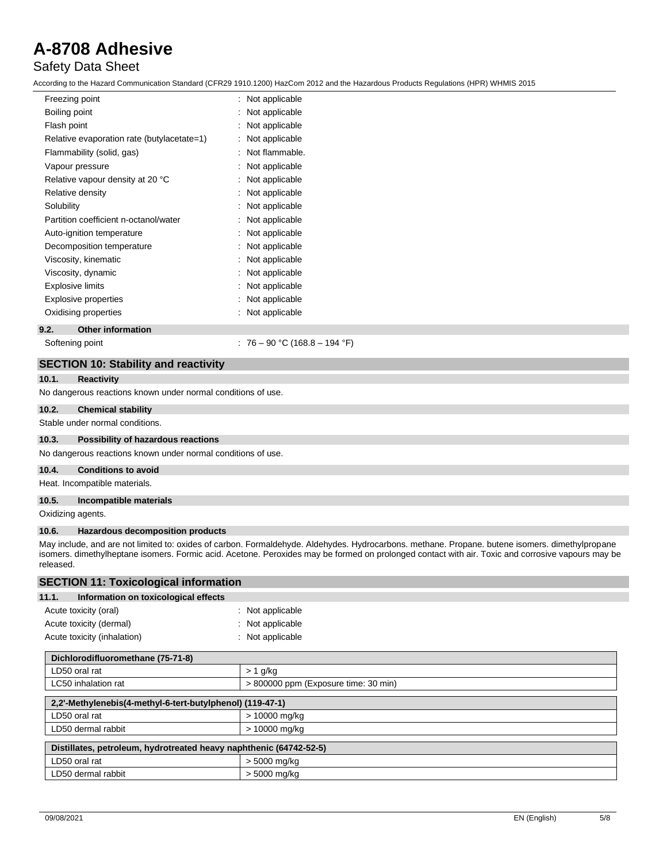## Safety Data Sheet

According to the Hazard Communication Standard (CFR29 1910.1200) HazCom 2012 and the Hazardous Products Regulations (HPR) WHMIS 2015

| Freezing point                             | : Not applicable                       |
|--------------------------------------------|----------------------------------------|
| Boiling point                              | Not applicable                         |
| Flash point                                | Not applicable                         |
| Relative evaporation rate (butylacetate=1) | Not applicable                         |
| Flammability (solid, gas)                  | Not flammable.<br>$\ddot{\phantom{a}}$ |
| Vapour pressure                            | Not applicable                         |
| Relative vapour density at 20 °C           | Not applicable                         |
| Relative density                           | Not applicable<br>İ                    |
| Solubility                                 | Not applicable                         |
| Partition coefficient n-octanol/water      | Not applicable                         |
| Auto-ignition temperature                  | Not applicable                         |
| Decomposition temperature                  | Not applicable                         |
| Viscosity, kinematic                       | Not applicable                         |
| Viscosity, dynamic                         | Not applicable                         |
| Explosive limits                           | Not applicable                         |
| <b>Explosive properties</b>                | Not applicable                         |
| Oxidising properties                       | Not applicable                         |
|                                            |                                        |

#### **9.2. Other information**

Softening point : 76 – 90 °C (168.8 – 194 °F)

#### **SECTION 10: Stability and reactivity**

#### **10.1. Reactivity**

No dangerous reactions known under normal conditions of use.

#### **10.2. Chemical stability**

Stable under normal conditions.

#### **10.3. Possibility of hazardous reactions**

No dangerous reactions known under normal conditions of use.

## **10.4. Conditions to avoid**

Heat. Incompatible materials.

#### **10.5. Incompatible materials**

Oxidizing agents.

#### **10.6. Hazardous decomposition products**

May include, and are not limited to: oxides of carbon. Formaldehyde. Aldehydes. Hydrocarbons. methane. Propane. butene isomers. dimethylpropane isomers. dimethylheptane isomers. Formic acid. Acetone. Peroxides may be formed on prolonged contact with air. Toxic and corrosive vapours may be released.

## **SECTION 11: Toxicological information**

| 11.1. | Information on toxicological effects |                    |
|-------|--------------------------------------|--------------------|
|       | Acute toxicity (oral)                | $:$ Not applicable |
|       | Acute toxicity (dermal)              | $:$ Not applicable |
|       | Acute toxicity (inhalation)          | $:$ Not applicable |
|       |                                      |                    |

| Dichlorodifluoromethane (75-71-8)                                  |                                      |  |
|--------------------------------------------------------------------|--------------------------------------|--|
| LD50 oral rat                                                      | $> 1$ g/kg                           |  |
| LC50 inhalation rat                                                | > 800000 ppm (Exposure time: 30 min) |  |
|                                                                    |                                      |  |
| 2.2'-Methylenebis(4-methyl-6-tert-butylphenol) (119-47-1)          |                                      |  |
| LD50 oral rat                                                      | > 10000 mg/kg                        |  |
| LD50 dermal rabbit                                                 | > 10000 mg/kg                        |  |
|                                                                    |                                      |  |
| Distillates, petroleum, hydrotreated heavy naphthenic (64742-52-5) |                                      |  |
| LD50 oral rat                                                      | > 5000 mg/kg                         |  |
| LD50 dermal rabbit                                                 | > 5000 mg/kg                         |  |
|                                                                    |                                      |  |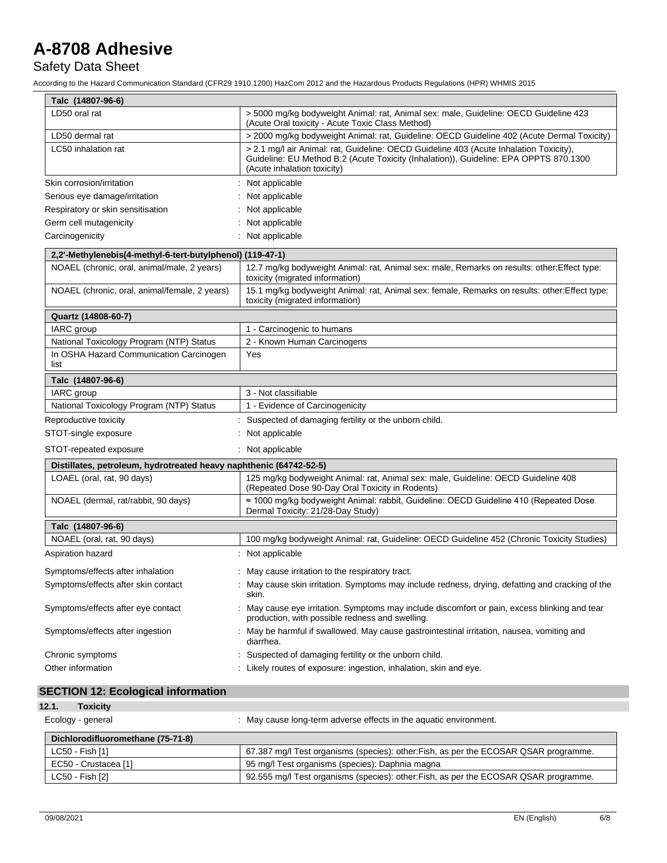## Safety Data Sheet

According to the Hazard Communication Standard (CFR29 1910.1200) HazCom 2012 and the Hazardous Products Regulations (HPR) WHMIS 2015

| Talc (14807-96-6)                                                  |                                                                                                                                                                                                                |
|--------------------------------------------------------------------|----------------------------------------------------------------------------------------------------------------------------------------------------------------------------------------------------------------|
| LD50 oral rat                                                      | > 5000 mg/kg bodyweight Animal: rat, Animal sex: male, Guideline: OECD Guideline 423<br>(Acute Oral toxicity - Acute Toxic Class Method)                                                                       |
| LD50 dermal rat                                                    | > 2000 mg/kg bodyweight Animal: rat, Guideline: OECD Guideline 402 (Acute Dermal Toxicity)                                                                                                                     |
| LC50 inhalation rat                                                | > 2.1 mg/l air Animal: rat, Guideline: OECD Guideline 403 (Acute Inhalation Toxicity),<br>Guideline: EU Method B.2 (Acute Toxicity (Inhalation)), Guideline: EPA OPPTS 870.1300<br>(Acute inhalation toxicity) |
| Skin corrosion/irritation                                          | : Not applicable                                                                                                                                                                                               |
| Serious eye damage/irritation                                      | Not applicable                                                                                                                                                                                                 |
| Respiratory or skin sensitisation                                  | Not applicable                                                                                                                                                                                                 |
| Germ cell mutagenicity                                             | Not applicable                                                                                                                                                                                                 |
| Carcinogenicity                                                    | : Not applicable                                                                                                                                                                                               |
| 2,2'-Methylenebis(4-methyl-6-tert-butylphenol) (119-47-1)          |                                                                                                                                                                                                                |
| NOAEL (chronic, oral, animal/male, 2 years)                        | 12.7 mg/kg bodyweight Animal: rat, Animal sex: male, Remarks on results: other:Effect type:<br>toxicity (migrated information)                                                                                 |
| NOAEL (chronic, oral, animal/female, 2 years)                      | 15.1 mg/kg bodyweight Animal: rat, Animal sex: female, Remarks on results: other: Effect type:<br>toxicity (migrated information)                                                                              |
| Quartz (14808-60-7)                                                |                                                                                                                                                                                                                |
| IARC group                                                         | 1 - Carcinogenic to humans                                                                                                                                                                                     |
| National Toxicology Program (NTP) Status                           | 2 - Known Human Carcinogens                                                                                                                                                                                    |
| In OSHA Hazard Communication Carcinogen<br>list                    | Yes                                                                                                                                                                                                            |
| Talc (14807-96-6)                                                  |                                                                                                                                                                                                                |
| IARC group                                                         | 3 - Not classifiable                                                                                                                                                                                           |
| National Toxicology Program (NTP) Status                           | 1 - Evidence of Carcinogenicity                                                                                                                                                                                |
| Reproductive toxicity                                              | : Suspected of damaging fertility or the unborn child.                                                                                                                                                         |
| STOT-single exposure                                               | : Not applicable                                                                                                                                                                                               |
| STOT-repeated exposure                                             | : Not applicable                                                                                                                                                                                               |
| Distillates, petroleum, hydrotreated heavy naphthenic (64742-52-5) |                                                                                                                                                                                                                |
| LOAEL (oral, rat, 90 days)                                         | 125 mg/kg bodyweight Animal: rat, Animal sex: male, Guideline: OECD Guideline 408<br>(Repeated Dose 90-Day Oral Toxicity in Rodents)                                                                           |
| NOAEL (dermal, rat/rabbit, 90 days)                                | ≈ 1000 mg/kg bodyweight Animal: rabbit, Guideline: OECD Guideline 410 (Repeated Dose<br>Dermal Toxicity: 21/28-Day Study)                                                                                      |
| Talc (14807-96-6)                                                  |                                                                                                                                                                                                                |
| NOAEL (oral, rat, 90 days)                                         | 100 mg/kg bodyweight Animal: rat, Guideline: OECD Guideline 452 (Chronic Toxicity Studies)                                                                                                                     |
| Aspiration hazard                                                  | : Not applicable                                                                                                                                                                                               |
| Symptoms/effects after inhalation                                  | : May cause irritation to the respiratory tract.                                                                                                                                                               |
| Symptoms/effects after skin contact                                | : May cause skin irritation. Symptoms may include redness, drying, defatting and cracking of the<br>skin.                                                                                                      |
| Symptoms/effects after eye contact                                 | : May cause eye irritation. Symptoms may include discomfort or pain, excess blinking and tear<br>production, with possible redness and swelling.                                                               |
| Symptoms/effects after ingestion                                   | May be harmful if swallowed. May cause gastrointestinal irritation, nausea, vomiting and<br>diarrhea.                                                                                                          |
| Chronic symptoms                                                   | Suspected of damaging fertility or the unborn child.                                                                                                                                                           |
| Other information                                                  | : Likely routes of exposure: ingestion, inhalation, skin and eye.                                                                                                                                              |
| <b>SECTION 12: Ecological information</b>                          |                                                                                                                                                                                                                |

## **12.1. Toxicity**

Ecology - general **Ecology** - general in the aquatic environment. **Dichlorodifluoromethane (75-71-8)** LC50 - Fish [1] 67.387 mg/l Test organisms (species): other: Fish, as per the ECOSAR QSAR programme. EC50 - Crustacea [1] 95 mg/l Test organisms (species): Daphnia magna LC50 - Fish [2] 92.555 mg/l Test organisms (species): other: Fish, as per the ECOSAR QSAR programme.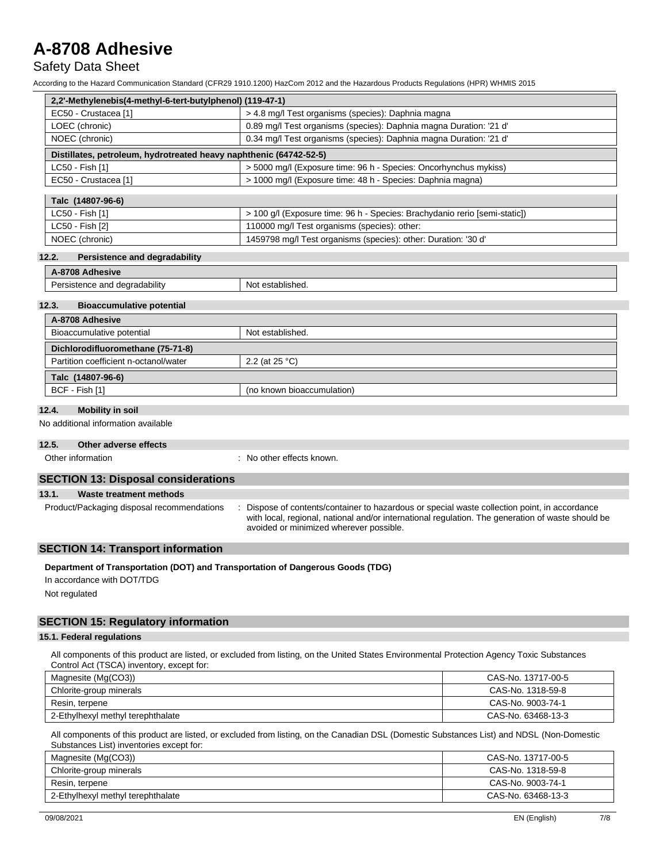## Safety Data Sheet

According to the Hazard Communication Standard (CFR29 1910.1200) HazCom 2012 and the Hazardous Products Regulations (HPR) WHMIS 2015

| 2,2'-Methylenebis(4-methyl-6-tert-butylphenol) (119-47-1)          |                                                                            |  |
|--------------------------------------------------------------------|----------------------------------------------------------------------------|--|
| EC50 - Crustacea [1]                                               | > 4.8 mg/l Test organisms (species): Daphnia magna                         |  |
| LOEC (chronic)                                                     | 0.89 mg/l Test organisms (species): Daphnia magna Duration: '21 d'         |  |
| NOEC (chronic)                                                     | 0.34 mg/l Test organisms (species): Daphnia magna Duration: '21 d'         |  |
| Distillates, petroleum, hydrotreated heavy naphthenic (64742-52-5) |                                                                            |  |
| LC50 - Fish [1]                                                    | > 5000 mg/l (Exposure time: 96 h - Species: Oncorhynchus mykiss)           |  |
| EC50 - Crustacea [1]                                               | > 1000 mg/l (Exposure time: 48 h - Species: Daphnia magna)                 |  |
| Talc (14807-96-6)                                                  |                                                                            |  |
| LC50 - Fish [1]                                                    | > 100 g/l (Exposure time: 96 h - Species: Brachydanio rerio [semi-static]) |  |
| LC50 - Fish [2]                                                    | 110000 mg/l Test organisms (species): other:                               |  |
| NOEC (chronic)                                                     | 1459798 mg/l Test organisms (species): other: Duration: '30 d'             |  |

#### **12.2. Persistence and degradability**

| A-8708 Adhesive                           |                            |  |
|-------------------------------------------|----------------------------|--|
| Persistence and degradability             | Not established.           |  |
|                                           |                            |  |
| 12.3.<br><b>Bioaccumulative potential</b> |                            |  |
| A-8708 Adhesive                           |                            |  |
| Bioaccumulative potential                 | Not established.           |  |
| Dichlorodifluoromethane (75-71-8)         |                            |  |
| Partition coefficient n-octanol/water     | 2.2 (at $25 °C$ )          |  |
| Talc (14807-96-6)                         |                            |  |
| BCF - Fish [1]                            | (no known bioaccumulation) |  |
|                                           |                            |  |

## **12.4. Mobility in soil**

No additional information available

#### **12.5. Other adverse effects**

| Other information |  |
|-------------------|--|
|                   |  |

: No other effects known.

| <b>SECTION 13: Disposal considerations</b> |                                            |  |                                                                                                                                                                                                                                             |
|--------------------------------------------|--------------------------------------------|--|---------------------------------------------------------------------------------------------------------------------------------------------------------------------------------------------------------------------------------------------|
| 13.1.                                      | Waste treatment methods                    |  |                                                                                                                                                                                                                                             |
|                                            | Product/Packaging disposal recommendations |  | Dispose of contents/container to hazardous or special waste collection point, in accordance<br>with local, regional, national and/or international regulation. The generation of waste should be<br>avoided or minimized wherever possible. |

#### **SECTION 14: Transport information**

**Department of Transportation (DOT) and Transportation of Dangerous Goods (TDG)**

In accordance with DOT/TDG Not regulated

### **SECTION 15: Regulatory information**

### **15.1. Federal regulations**

All components of this product are listed, or excluded from listing, on the United States Environmental Protection Agency Toxic Substances Control Act (TSCA) inventory, except for:

| Magnesite (Mg(CO3))               | CAS-No. 13717-00-5 |
|-----------------------------------|--------------------|
| Chlorite-group minerals           | CAS-No. 1318-59-8  |
| Resin, terpene                    | CAS-No. 9003-74-1  |
| 2-Ethylhexyl methyl terephthalate | CAS-No. 63468-13-3 |

All components of this product are listed, or excluded from listing, on the Canadian DSL (Domestic Substances List) and NDSL (Non-Domestic Substances List) inventories except for:

| Magnesite (Mg(CO3))               | CAS-No. 13717-00-5 |
|-----------------------------------|--------------------|
| Chlorite-group minerals           | CAS-No. 1318-59-8  |
| Resin, terpene                    | CAS-No. 9003-74-1  |
| 2-Ethylhexyl methyl terephthalate | CAS-No. 63468-13-3 |
|                                   |                    |